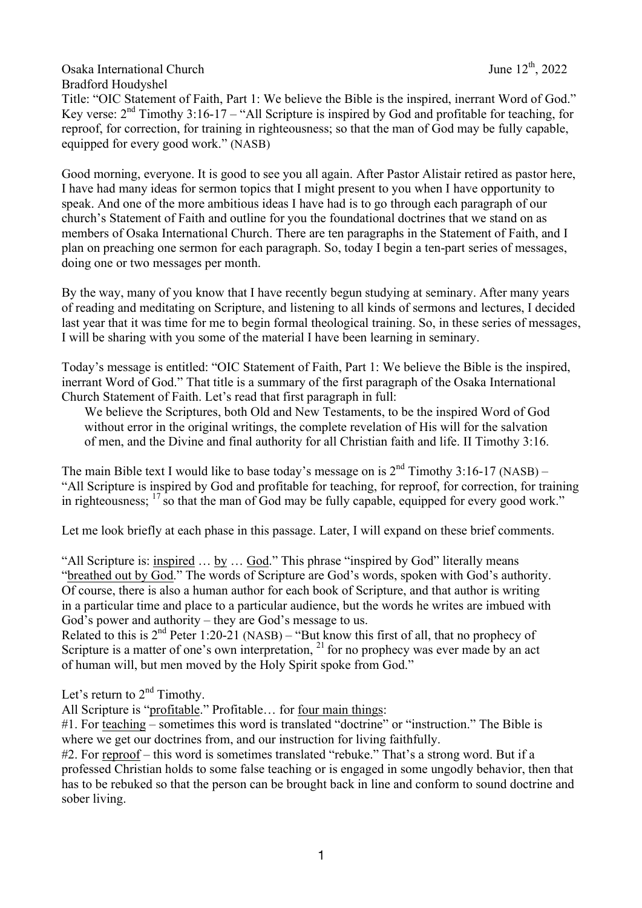## Osaka International Church June 12<sup>th</sup>, 2022 Bradford Houdyshel

Title: "OIC Statement of Faith, Part 1: We believe the Bible is the inspired, inerrant Word of God." Key verse:  $2<sup>nd</sup>$  Timothy 3:16-17 – "All Scripture is inspired by God and profitable for teaching, for reproof, for correction, for training in righteousness; so that the man of God may be fully capable, equipped for every good work." (NASB)

Good morning, everyone. It is good to see you all again. After Pastor Alistair retired as pastor here, I have had many ideas for sermon topics that I might present to you when I have opportunity to speak. And one of the more ambitious ideas I have had is to go through each paragraph of our church's Statement of Faith and outline for you the foundational doctrines that we stand on as members of Osaka International Church. There are ten paragraphs in the Statement of Faith, and I plan on preaching one sermon for each paragraph. So, today I begin a ten-part series of messages, doing one or two messages per month.

By the way, many of you know that I have recently begun studying at seminary. After many years of reading and meditating on Scripture, and listening to all kinds of sermons and lectures, I decided last year that it was time for me to begin formal theological training. So, in these series of messages, I will be sharing with you some of the material I have been learning in seminary.

Today's message is entitled: "OIC Statement of Faith, Part 1: We believe the Bible is the inspired, inerrant Word of God." That title is a summary of the first paragraph of the Osaka International Church Statement of Faith. Let's read that first paragraph in full:

We believe the Scriptures, both Old and New Testaments, to be the inspired Word of God without error in the original writings, the complete revelation of His will for the salvation of men, and the Divine and final authority for all Christian faith and life. II Timothy 3:16.

The main Bible text I would like to base today's message on is  $2<sup>nd</sup>$  Timothy 3:16-17 (NASB) – "All Scripture is inspired by God and profitable for teaching, for reproof, for correction, for training in righteousness;  $^{17}$  so that the man of God may be fully capable, equipped for every good work."

Let me look briefly at each phase in this passage. Later, I will expand on these brief comments.

"All Scripture is: inspired … by … God." This phrase "inspired by God" literally means "breathed out by God." The words of Scripture are God's words, spoken with God's authority. Of course, there is also a human author for each book of Scripture, and that author is writing in a particular time and place to a particular audience, but the words he writes are imbued with God's power and authority – they are God's message to us.

Related to this is  $2^{nd}$  Peter 1:20-21 (NASB) – "But know this first of all, that no prophecy of Scripture is a matter of one's own interpretation,  $2<sup>1</sup>$  for no prophecy was ever made by an act of human will, but men moved by the Holy Spirit spoke from God."

Let's return to  $2<sup>nd</sup>$  Timothy.

All Scripture is "profitable." Profitable… for four main things:

#1. For teaching – sometimes this word is translated "doctrine" or "instruction." The Bible is where we get our doctrines from, and our instruction for living faithfully.

#2. For reproof – this word is sometimes translated "rebuke." That's a strong word. But if a professed Christian holds to some false teaching or is engaged in some ungodly behavior, then that has to be rebuked so that the person can be brought back in line and conform to sound doctrine and sober living.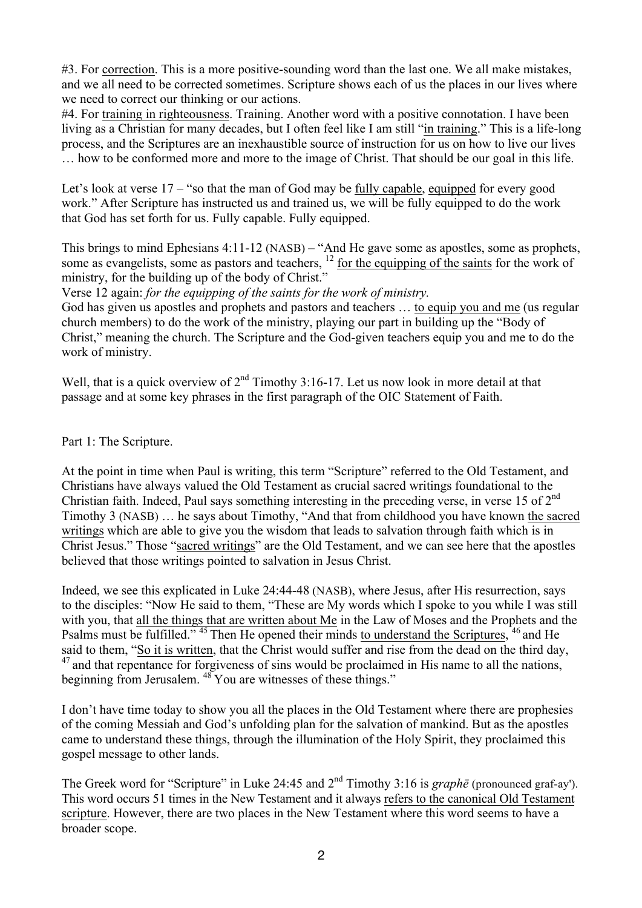#3. For correction. This is a more positive-sounding word than the last one. We all make mistakes, and we all need to be corrected sometimes. Scripture shows each of us the places in our lives where we need to correct our thinking or our actions.

#4. For training in righteousness. Training. Another word with a positive connotation. I have been living as a Christian for many decades, but I often feel like I am still "in training." This is a life-long process, and the Scriptures are an inexhaustible source of instruction for us on how to live our lives … how to be conformed more and more to the image of Christ. That should be our goal in this life.

Let's look at verse 17 – "so that the man of God may be fully capable, equipped for every good work." After Scripture has instructed us and trained us, we will be fully equipped to do the work that God has set forth for us. Fully capable. Fully equipped.

This brings to mind Ephesians 4:11-12 (NASB) – "And He gave some as apostles, some as prophets, some as evangelists, some as pastors and teachers,  $\frac{12}{12}$  for the equipping of the saints for the work of ministry, for the building up of the body of Christ."

Verse 12 again: *for the equipping of the saints for the work of ministry.*

God has given us apostles and prophets and pastors and teachers … to equip you and me (us regular church members) to do the work of the ministry, playing our part in building up the "Body of Christ," meaning the church. The Scripture and the God-given teachers equip you and me to do the work of ministry.

Well, that is a quick overview of  $2<sup>nd</sup>$  Timothy 3:16-17. Let us now look in more detail at that passage and at some key phrases in the first paragraph of the OIC Statement of Faith.

## Part 1: The Scripture.

At the point in time when Paul is writing, this term "Scripture" referred to the Old Testament, and Christians have always valued the Old Testament as crucial sacred writings foundational to the Christian faith. Indeed, Paul says something interesting in the preceding verse, in verse 15 of 2nd Timothy 3 (NASB) … he says about Timothy, "And that from childhood you have known the sacred writings which are able to give you the wisdom that leads to salvation through faith which is in Christ Jesus." Those "sacred writings" are the Old Testament, and we can see here that the apostles believed that those writings pointed to salvation in Jesus Christ.

Indeed, we see this explicated in Luke 24:44-48 (NASB), where Jesus, after His resurrection, says to the disciples: "Now He said to them, "These are My words which I spoke to you while I was still with you, that all the things that are written about Me in the Law of Moses and the Prophets and the Psalms must be fulfilled." <sup>45</sup> Then He opened their minds to understand the Scriptures, <sup>46</sup> and He said to them, "So it is written, that the Christ would suffer and rise from the dead on the third day,  $47$  and that repentance for forgiveness of sins would be proclaimed in His name to all the nations, beginning from Jerusalem. <sup>48</sup> You are witnesses of these things."

I don't have time today to show you all the places in the Old Testament where there are prophesies of the coming Messiah and God's unfolding plan for the salvation of mankind. But as the apostles came to understand these things, through the illumination of the Holy Spirit, they proclaimed this gospel message to other lands.

The Greek word for "Scripture" in Luke 24:45 and  $2<sup>nd</sup>$  Timothy 3:16 is *graph* $\bar{e}$  (pronounced graf-ay'). This word occurs 51 times in the New Testament and it always refers to the canonical Old Testament scripture. However, there are two places in the New Testament where this word seems to have a broader scope.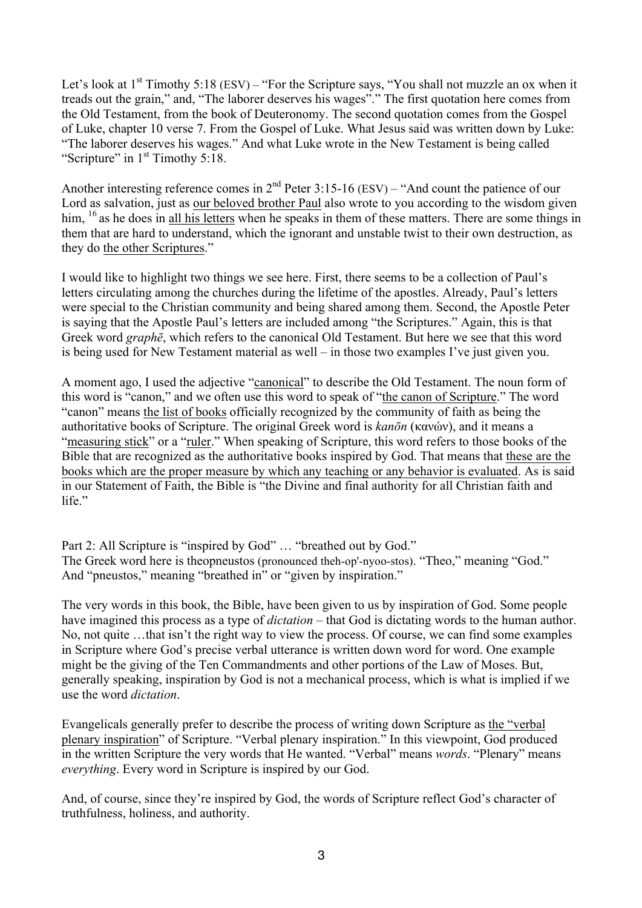Let's look at  $1<sup>st</sup>$  Timothy 5:18 (ESV) – "For the Scripture says, "You shall not muzzle an ox when it treads out the grain," and, "The laborer deserves his wages"." The first quotation here comes from the Old Testament, from the book of Deuteronomy. The second quotation comes from the Gospel of Luke, chapter 10 verse 7. From the Gospel of Luke. What Jesus said was written down by Luke: "The laborer deserves his wages." And what Luke wrote in the New Testament is being called "Scripture" in 1<sup>st</sup> Timothy 5:18.

Another interesting reference comes in  $2<sup>nd</sup>$  Peter 3:15-16 (ESV) – "And count the patience of our Lord as salvation, just as our beloved brother Paul also wrote to you according to the wisdom given him, <sup>16</sup> as he does in all his letters when he speaks in them of these matters. There are some things in them that are hard to understand, which the ignorant and unstable twist to their own destruction, as they do the other Scriptures."

I would like to highlight two things we see here. First, there seems to be a collection of Paul's letters circulating among the churches during the lifetime of the apostles. Already, Paul's letters were special to the Christian community and being shared among them. Second, the Apostle Peter is saying that the Apostle Paul's letters are included among "the Scriptures." Again, this is that Greek word *graphē*, which refers to the canonical Old Testament. But here we see that this word is being used for New Testament material as well – in those two examples I've just given you.

A moment ago, I used the adjective "canonical" to describe the Old Testament. The noun form of this word is "canon," and we often use this word to speak of "the canon of Scripture." The word "canon" means the list of books officially recognized by the community of faith as being the authoritative books of Scripture. The original Greek word is *kanōn* (κανών), and it means a "measuring stick" or a "<u>ruler</u>." When speaking of Scripture, this word refers to those books of the Bible that are recognized as the authoritative books inspired by God. That means that these are the books which are the proper measure by which any teaching or any behavior is evaluated. As is said in our Statement of Faith, the Bible is "the Divine and final authority for all Christian faith and life."

Part 2: All Scripture is "inspired by God" ... "breathed out by God." The Greek word here is theopneustos (pronounced theh-op'-nyoo-stos). "Theo," meaning "God." And "pneustos," meaning "breathed in" or "given by inspiration."

The very words in this book, the Bible, have been given to us by inspiration of God. Some people have imagined this process as a type of *dictation* – that God is dictating words to the human author. No, not quite …that isn't the right way to view the process. Of course, we can find some examples in Scripture where God's precise verbal utterance is written down word for word. One example might be the giving of the Ten Commandments and other portions of the Law of Moses. But, generally speaking, inspiration by God is not a mechanical process, which is what is implied if we use the word *dictation*.

Evangelicals generally prefer to describe the process of writing down Scripture as the "verbal plenary inspiration" of Scripture. "Verbal plenary inspiration." In this viewpoint, God produced in the written Scripture the very words that He wanted. "Verbal" means *words*. "Plenary" means *everything*. Every word in Scripture is inspired by our God.

And, of course, since they're inspired by God, the words of Scripture reflect God's character of truthfulness, holiness, and authority.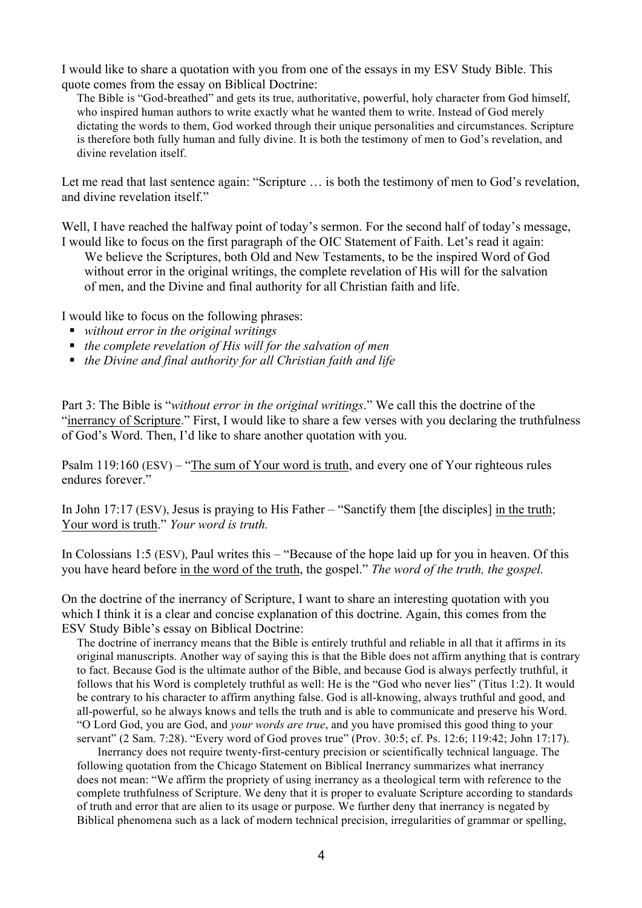I would like to share a quotation with you from one of the essays in my ESV Study Bible. This quote comes from the essay on Biblical Doctrine:

The Bible is "God-breathed" and gets its true, authoritative, powerful, holy character from God himself, who inspired human authors to write exactly what he wanted them to write. Instead of God merely dictating the words to them, God worked through their unique personalities and circumstances. Scripture is therefore both fully human and fully divine. It is both the testimony of men to God's revelation, and divine revelation itself.

Let me read that last sentence again: "Scripture … is both the testimony of men to God's revelation, and divine revelation itself"

Well, I have reached the halfway point of today's sermon. For the second half of today's message, I would like to focus on the first paragraph of the OIC Statement of Faith. Let's read it again: We believe the Scriptures, both Old and New Testaments, to be the inspired Word of God

without error in the original writings, the complete revelation of His will for the salvation of men, and the Divine and final authority for all Christian faith and life.

I would like to focus on the following phrases:

- § *without error in the original writings*
- § *the complete revelation of His will for the salvation of men*
- § *the Divine and final authority for all Christian faith and life*

Part 3: The Bible is "*without error in the original writings*." We call this the doctrine of the "inerrancy of Scripture." First, I would like to share a few verses with you declaring the truthfulness of God's Word. Then, I'd like to share another quotation with you.

Psalm 119:160 (ESV) – "The sum of Your word is truth, and every one of Your righteous rules endures forever."

In John 17:17 (ESV), Jesus is praying to His Father – "Sanctify them [the disciples] in the truth; Your word is truth." *Your word is truth.*

In Colossians 1:5 (ESV), Paul writes this – "Because of the hope laid up for you in heaven. Of this you have heard before in the word of the truth, the gospel." *The word of the truth, the gospel.*

On the doctrine of the inerrancy of Scripture, I want to share an interesting quotation with you which I think it is a clear and concise explanation of this doctrine. Again, this comes from the ESV Study Bible's essay on Biblical Doctrine:

The doctrine of inerrancy means that the Bible is entirely truthful and reliable in all that it affirms in its original manuscripts. Another way of saying this is that the Bible does not affirm anything that is contrary to fact. Because God is the ultimate author of the Bible, and because God is always perfectly truthful, it follows that his Word is completely truthful as well: He is the "God who never lies" (Titus 1:2). It would be contrary to his character to affirm anything false. God is all-knowing, always truthful and good, and all-powerful, so he always knows and tells the truth and is able to communicate and preserve his Word. "O Lord God, you are God, and *your words are true*, and you have promised this good thing to your servant" (2 Sam. 7:28). "Every word of God proves true" (Prov. 30:5; cf. Ps. 12:6; 119:42; John 17:17).

 Inerrancy does not require twenty-first-century precision or scientifically technical language. The following quotation from the Chicago Statement on Biblical Inerrancy summarizes what inerrancy does not mean: "We affirm the propriety of using inerrancy as a theological term with reference to the complete truthfulness of Scripture. We deny that it is proper to evaluate Scripture according to standards of truth and error that are alien to its usage or purpose. We further deny that inerrancy is negated by Biblical phenomena such as a lack of modern technical precision, irregularities of grammar or spelling,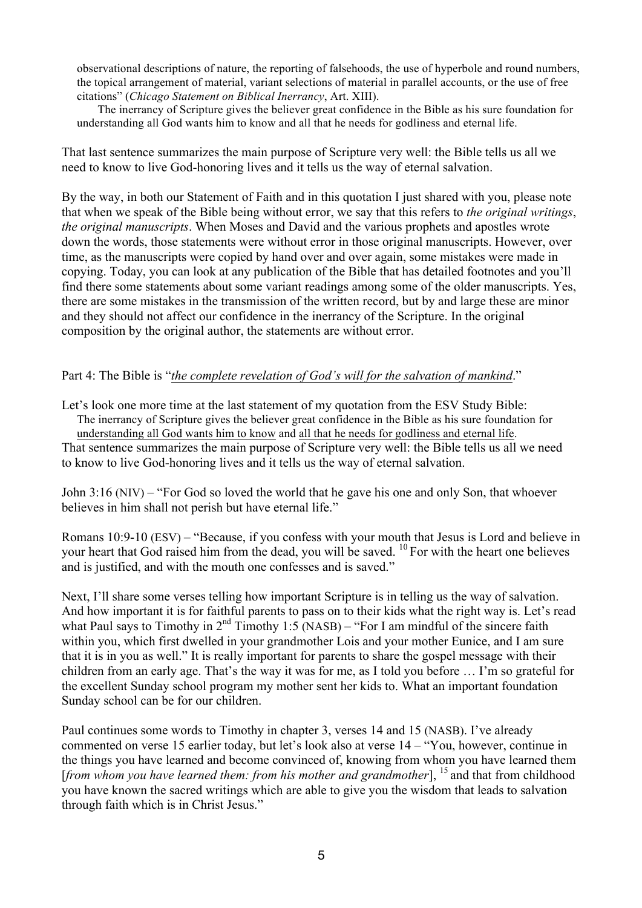observational descriptions of nature, the reporting of falsehoods, the use of hyperbole and round numbers, the topical arrangement of material, variant selections of material in parallel accounts, or the use of free citations" (*Chicago Statement on Biblical Inerrancy*, Art. XIII).

 The inerrancy of Scripture gives the believer great confidence in the Bible as his sure foundation for understanding all God wants him to know and all that he needs for godliness and eternal life.

That last sentence summarizes the main purpose of Scripture very well: the Bible tells us all we need to know to live God-honoring lives and it tells us the way of eternal salvation.

By the way, in both our Statement of Faith and in this quotation I just shared with you, please note that when we speak of the Bible being without error, we say that this refers to *the original writings*, *the original manuscripts*. When Moses and David and the various prophets and apostles wrote down the words, those statements were without error in those original manuscripts. However, over time, as the manuscripts were copied by hand over and over again, some mistakes were made in copying. Today, you can look at any publication of the Bible that has detailed footnotes and you'll find there some statements about some variant readings among some of the older manuscripts. Yes, there are some mistakes in the transmission of the written record, but by and large these are minor and they should not affect our confidence in the inerrancy of the Scripture. In the original composition by the original author, the statements are without error.

## Part 4: The Bible is "*the complete revelation of God's will for the salvation of mankind*."

Let's look one more time at the last statement of my quotation from the ESV Study Bible: The inerrancy of Scripture gives the believer great confidence in the Bible as his sure foundation for understanding all God wants him to know and all that he needs for godliness and eternal life. That sentence summarizes the main purpose of Scripture very well: the Bible tells us all we need to know to live God-honoring lives and it tells us the way of eternal salvation.

John 3:16 (NIV) – "For God so loved the world that he gave his one and only Son, that whoever believes in him shall not perish but have eternal life."

Romans 10:9-10 (ESV) – "Because, if you confess with your mouth that Jesus is Lord and believe in your heart that God raised him from the dead, you will be saved. <sup>10</sup> For with the heart one believes and is justified, and with the mouth one confesses and is saved."

Next, I'll share some verses telling how important Scripture is in telling us the way of salvation. And how important it is for faithful parents to pass on to their kids what the right way is. Let's read what Paul says to Timothy in  $2<sup>nd</sup>$  Timothy 1:5 (NASB) – "For I am mindful of the sincere faith within you, which first dwelled in your grandmother Lois and your mother Eunice, and I am sure that it is in you as well." It is really important for parents to share the gospel message with their children from an early age. That's the way it was for me, as I told you before … I'm so grateful for the excellent Sunday school program my mother sent her kids to. What an important foundation Sunday school can be for our children.

Paul continues some words to Timothy in chapter 3, verses 14 and 15 (NASB). I've already commented on verse 15 earlier today, but let's look also at verse 14 – "You, however, continue in the things you have learned and become convinced of, knowing from whom you have learned them [*from whom you have learned them: from his mother and grandmother*], <sup>15</sup> and that from childhood you have known the sacred writings which are able to give you the wisdom that leads to salvation through faith which is in Christ Jesus."